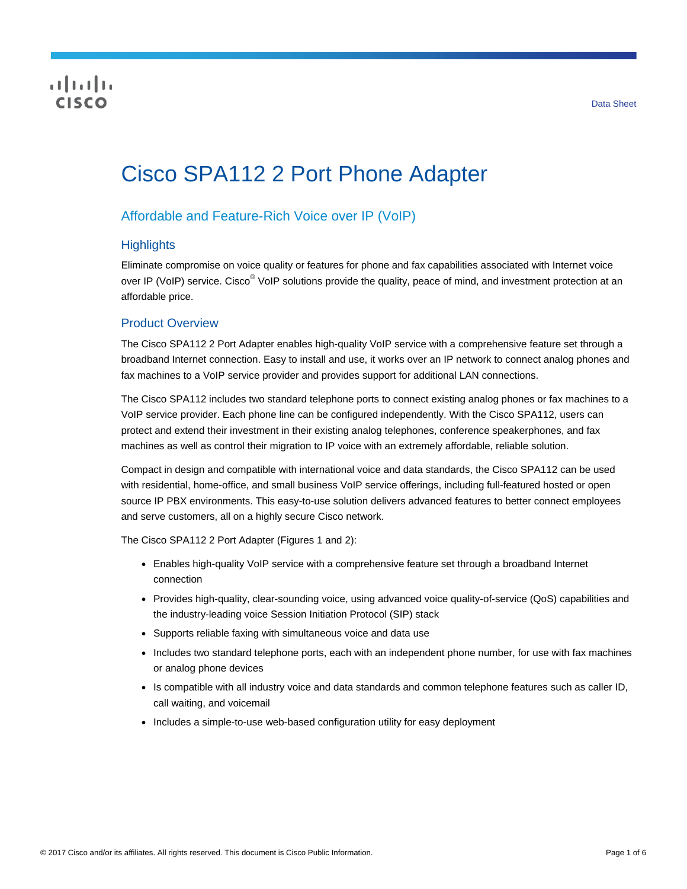# CISCO

# Cisco SPA112 2 Port Phone Adapter

# Affordable and Feature-Rich Voice over IP (VoIP)

#### **Highlights**

Eliminate compromise on voice quality or features for phone and fax capabilities associated with Internet voice over IP (VoIP) service. Cisco<sup>®</sup> VoIP solutions provide the quality, peace of mind, and investment protection at an affordable price.

#### Product Overview

The Cisco SPA112 2 Port Adapter enables high-quality VoIP service with a comprehensive feature set through a broadband Internet connection. Easy to install and use, it works over an IP network to connect analog phones and fax machines to a VoIP service provider and provides support for additional LAN connections.

The Cisco SPA112 includes two standard telephone ports to connect existing analog phones or fax machines to a VoIP service provider. Each phone line can be configured independently. With the Cisco SPA112, users can protect and extend their investment in their existing analog telephones, conference speakerphones, and fax machines as well as control their migration to IP voice with an extremely affordable, reliable solution.

Compact in design and compatible with international voice and data standards, the Cisco SPA112 can be used with residential, home-office, and small business VoIP service offerings, including full-featured hosted or open source IP PBX environments. This easy-to-use solution delivers advanced features to better connect employees and serve customers, all on a highly secure Cisco network.

The Cisco SPA112 2 Port Adapter (Figures 1 and 2):

- Enables high-quality VoIP service with a comprehensive feature set through a broadband Internet connection
- Provides high-quality, clear-sounding voice, using advanced voice quality-of-service (QoS) capabilities and the industry-leading voice Session Initiation Protocol (SIP) stack
- Supports reliable faxing with simultaneous voice and data use
- Includes two standard telephone ports, each with an independent phone number, for use with fax machines or analog phone devices
- Is compatible with all industry voice and data standards and common telephone features such as caller ID, call waiting, and voicemail
- Includes a simple-to-use web-based configuration utility for easy deployment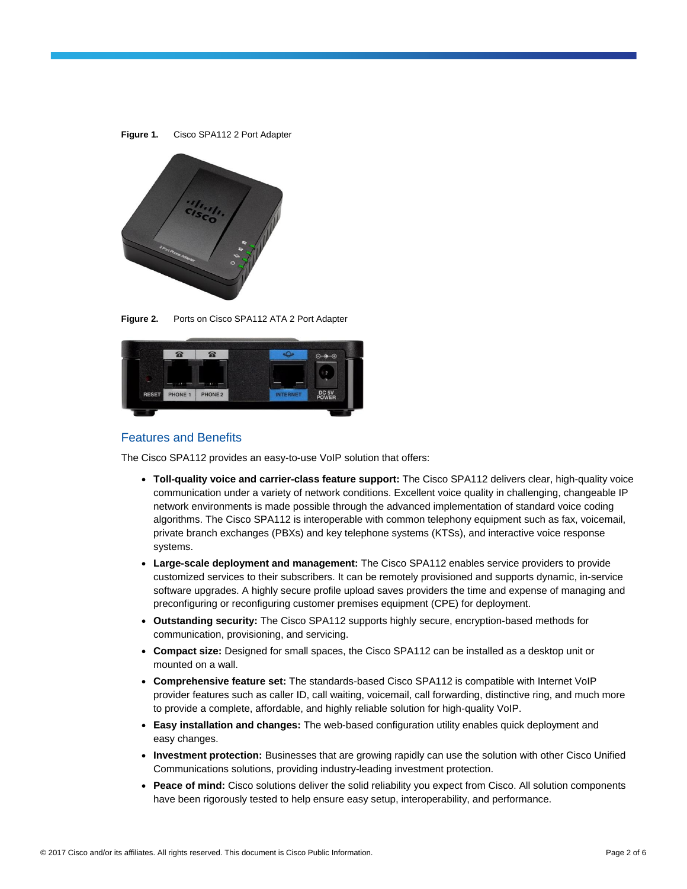

**Figure 2.** Ports on Cisco SPA112 ATA 2 Port Adapter



#### Features and Benefits

The Cisco SPA112 provides an easy-to-use VoIP solution that offers:

- **Toll-quality voice and carrier-class feature support:** The Cisco SPA112 delivers clear, high-quality voice communication under a variety of network conditions. Excellent voice quality in challenging, changeable IP network environments is made possible through the advanced implementation of standard voice coding algorithms. The Cisco SPA112 is interoperable with common telephony equipment such as fax, voicemail, private branch exchanges (PBXs) and key telephone systems (KTSs), and interactive voice response systems.
- **Large-scale deployment and management:** The Cisco SPA112 enables service providers to provide customized services to their subscribers. It can be remotely provisioned and supports dynamic, in-service software upgrades. A highly secure profile upload saves providers the time and expense of managing and preconfiguring or reconfiguring customer premises equipment (CPE) for deployment.
- **Outstanding security:** The Cisco SPA112 supports highly secure, encryption-based methods for communication, provisioning, and servicing.
- **Compact size:** Designed for small spaces, the Cisco SPA112 can be installed as a desktop unit or mounted on a wall.
- **Comprehensive feature set:** The standards-based Cisco SPA112 is compatible with Internet VoIP provider features such as caller ID, call waiting, voicemail, call forwarding, distinctive ring, and much more to provide a complete, affordable, and highly reliable solution for high-quality VoIP.
- **Easy installation and changes:** The web-based configuration utility enables quick deployment and easy changes.
- **Investment protection:** Businesses that are growing rapidly can use the solution with other Cisco Unified Communications solutions, providing industry-leading investment protection.
- **Peace of mind:** Cisco solutions deliver the solid reliability you expect from Cisco. All solution components have been rigorously tested to help ensure easy setup, interoperability, and performance.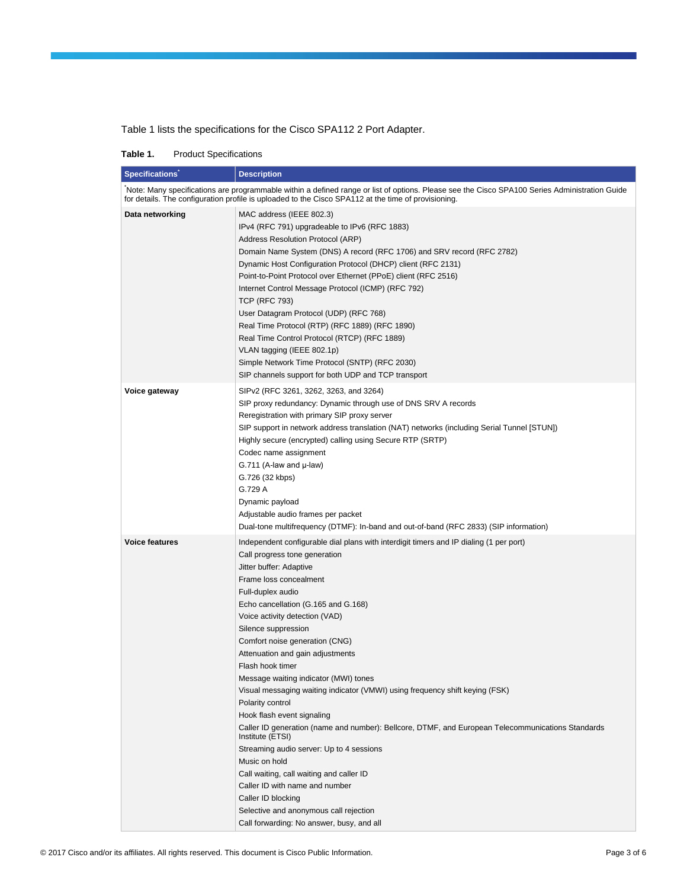Table 1 lists the specifications for the Cisco SPA112 2 Port Adapter.

| <b>Product Specifications</b><br>Table 1. |  |
|-------------------------------------------|--|
|-------------------------------------------|--|

| <b>Specifications</b>                                                                                                                                                                                                                                | <b>Description</b>                                                                                                                                                                                                                                                                                                                                                                                                                                                                                                                                                                                                                                                                                                                                                                                                                                                                                                                                      |  |  |
|------------------------------------------------------------------------------------------------------------------------------------------------------------------------------------------------------------------------------------------------------|---------------------------------------------------------------------------------------------------------------------------------------------------------------------------------------------------------------------------------------------------------------------------------------------------------------------------------------------------------------------------------------------------------------------------------------------------------------------------------------------------------------------------------------------------------------------------------------------------------------------------------------------------------------------------------------------------------------------------------------------------------------------------------------------------------------------------------------------------------------------------------------------------------------------------------------------------------|--|--|
| Note: Many specifications are programmable within a defined range or list of options. Please see the Cisco SPA100 Series Administration Guide<br>for details. The configuration profile is uploaded to the Cisco SPA112 at the time of provisioning. |                                                                                                                                                                                                                                                                                                                                                                                                                                                                                                                                                                                                                                                                                                                                                                                                                                                                                                                                                         |  |  |
| Data networking                                                                                                                                                                                                                                      | MAC address (IEEE 802.3)<br>IPv4 (RFC 791) upgradeable to IPv6 (RFC 1883)<br>Address Resolution Protocol (ARP)<br>Domain Name System (DNS) A record (RFC 1706) and SRV record (RFC 2782)<br>Dynamic Host Configuration Protocol (DHCP) client (RFC 2131)<br>Point-to-Point Protocol over Ethernet (PPoE) client (RFC 2516)<br>Internet Control Message Protocol (ICMP) (RFC 792)<br><b>TCP (RFC 793)</b><br>User Datagram Protocol (UDP) (RFC 768)<br>Real Time Protocol (RTP) (RFC 1889) (RFC 1890)<br>Real Time Control Protocol (RTCP) (RFC 1889)<br>VLAN tagging (IEEE 802.1p)<br>Simple Network Time Protocol (SNTP) (RFC 2030)<br>SIP channels support for both UDP and TCP transport                                                                                                                                                                                                                                                             |  |  |
| Voice gateway                                                                                                                                                                                                                                        | SIP <sub>v2</sub> (RFC 3261, 3262, 3263, and 3264)<br>SIP proxy redundancy: Dynamic through use of DNS SRV A records<br>Reregistration with primary SIP proxy server<br>SIP support in network address translation (NAT) networks (including Serial Tunnel [STUN])<br>Highly secure (encrypted) calling using Secure RTP (SRTP)<br>Codec name assignment<br>$G.711$ (A-law and $\mu$ -law)<br>G.726 (32 kbps)<br>G.729 A<br>Dynamic payload<br>Adjustable audio frames per packet<br>Dual-tone multifrequency (DTMF): In-band and out-of-band (RFC 2833) (SIP information)                                                                                                                                                                                                                                                                                                                                                                              |  |  |
| <b>Voice features</b>                                                                                                                                                                                                                                | Independent configurable dial plans with interdigit timers and IP dialing (1 per port)<br>Call progress tone generation<br>Jitter buffer: Adaptive<br>Frame loss concealment<br>Full-duplex audio<br>Echo cancellation (G.165 and G.168)<br>Voice activity detection (VAD)<br>Silence suppression<br>Comfort noise generation (CNG)<br>Attenuation and gain adjustments<br>Flash hook timer<br>Message waiting indicator (MWI) tones<br>Visual messaging waiting indicator (VMWI) using frequency shift keying (FSK)<br>Polarity control<br>Hook flash event signaling<br>Caller ID generation (name and number): Bellcore, DTMF, and European Telecommunications Standards<br>Institute (ETSI)<br>Streaming audio server: Up to 4 sessions<br>Music on hold<br>Call waiting, call waiting and caller ID<br>Caller ID with name and number<br>Caller ID blocking<br>Selective and anonymous call rejection<br>Call forwarding: No answer, busy, and all |  |  |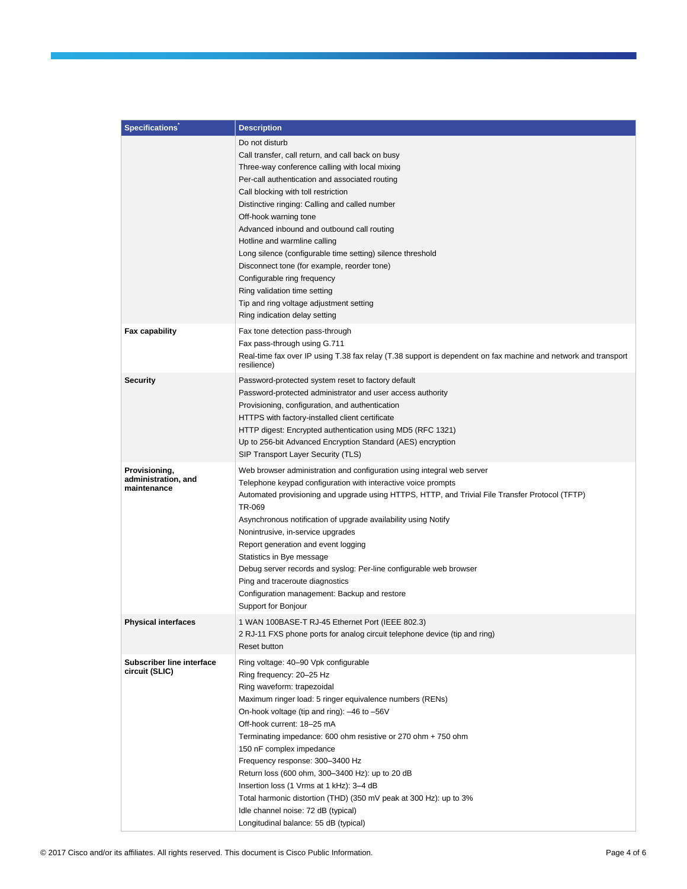| <b>Specifications</b>                | <b>Description</b>                                                                                             |
|--------------------------------------|----------------------------------------------------------------------------------------------------------------|
|                                      | Do not disturb                                                                                                 |
|                                      | Call transfer, call return, and call back on busy                                                              |
|                                      | Three-way conference calling with local mixing                                                                 |
|                                      | Per-call authentication and associated routing                                                                 |
|                                      | Call blocking with toll restriction                                                                            |
|                                      | Distinctive ringing: Calling and called number                                                                 |
|                                      | Off-hook warning tone                                                                                          |
|                                      | Advanced inbound and outbound call routing                                                                     |
|                                      | Hotline and warmline calling                                                                                   |
|                                      | Long silence (configurable time setting) silence threshold                                                     |
|                                      | Disconnect tone (for example, reorder tone)                                                                    |
|                                      | Configurable ring frequency                                                                                    |
|                                      | Ring validation time setting                                                                                   |
|                                      | Tip and ring voltage adjustment setting                                                                        |
|                                      | Ring indication delay setting                                                                                  |
| <b>Fax capability</b>                | Fax tone detection pass-through                                                                                |
|                                      | Fax pass-through using G.711                                                                                   |
|                                      | Real-time fax over IP using T.38 fax relay (T.38 support is dependent on fax machine and network and transport |
|                                      | resilience)                                                                                                    |
| <b>Security</b>                      | Password-protected system reset to factory default                                                             |
|                                      | Password-protected administrator and user access authority                                                     |
|                                      | Provisioning, configuration, and authentication                                                                |
|                                      | HTTPS with factory-installed client certificate                                                                |
|                                      | HTTP digest: Encrypted authentication using MD5 (RFC 1321)                                                     |
|                                      | Up to 256-bit Advanced Encryption Standard (AES) encryption<br>SIP Transport Layer Security (TLS)              |
|                                      |                                                                                                                |
| Provisioning,<br>administration, and | Web browser administration and configuration using integral web server                                         |
| maintenance                          | Telephone keypad configuration with interactive voice prompts                                                  |
|                                      | Automated provisioning and upgrade using HTTPS, HTTP, and Trivial File Transfer Protocol (TFTP)<br>TR-069      |
|                                      | Asynchronous notification of upgrade availability using Notify                                                 |
|                                      | Nonintrusive, in-service upgrades                                                                              |
|                                      | Report generation and event logging                                                                            |
|                                      | Statistics in Bye message                                                                                      |
|                                      | Debug server records and syslog: Per-line configurable web browser                                             |
|                                      | Ping and traceroute diagnostics                                                                                |
|                                      | Configuration management: Backup and restore                                                                   |
|                                      | Support for Bonjour                                                                                            |
| <b>Physical interfaces</b>           | 1 WAN 100BASE-T RJ-45 Ethernet Port (IEEE 802.3)                                                               |
|                                      | 2 RJ-11 FXS phone ports for analog circuit telephone device (tip and ring)                                     |
|                                      | Reset button                                                                                                   |
| Subscriber line interface            | Ring voltage: 40-90 Vpk configurable                                                                           |
| circuit (SLIC)                       | Ring frequency: 20-25 Hz                                                                                       |
|                                      | Ring waveform: trapezoidal                                                                                     |
|                                      | Maximum ringer load: 5 ringer equivalence numbers (RENs)                                                       |
|                                      | On-hook voltage (tip and ring): -46 to -56V                                                                    |
|                                      | Off-hook current: 18-25 mA                                                                                     |
|                                      | Terminating impedance: 600 ohm resistive or 270 ohm + 750 ohm                                                  |
|                                      | 150 nF complex impedance                                                                                       |
|                                      | Frequency response: 300-3400 Hz                                                                                |
|                                      | Return loss (600 ohm, 300-3400 Hz): up to 20 dB                                                                |
|                                      | Insertion loss (1 Vrms at 1 kHz): 3-4 dB                                                                       |
|                                      | Total harmonic distortion (THD) (350 mV peak at 300 Hz): up to 3%                                              |
|                                      | Idle channel noise: 72 dB (typical)                                                                            |
|                                      | Longitudinal balance: 55 dB (typical)                                                                          |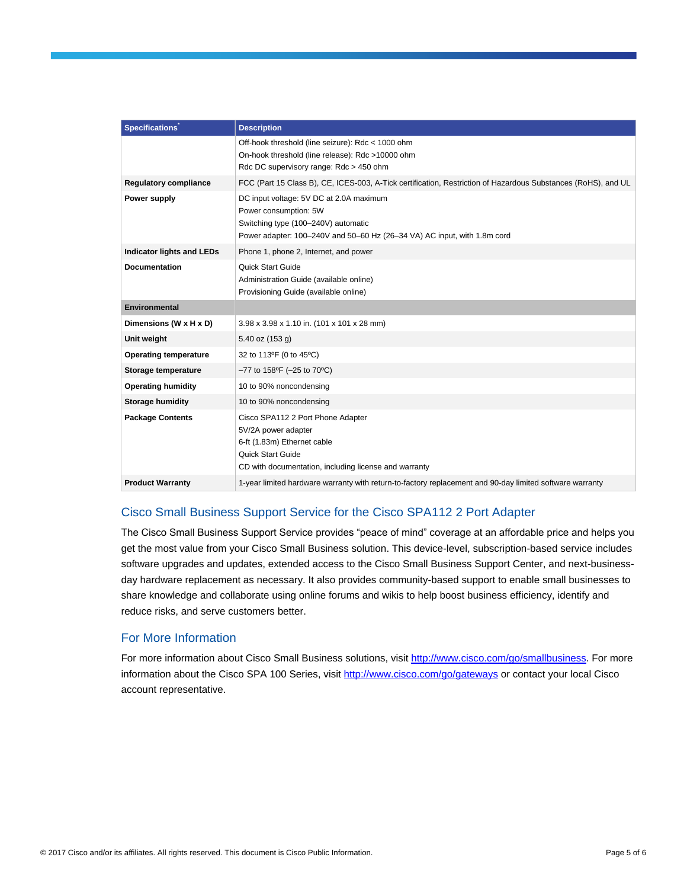| Specifications <sup>®</sup>      | <b>Description</b>                                                                                                                                                                  |
|----------------------------------|-------------------------------------------------------------------------------------------------------------------------------------------------------------------------------------|
|                                  | Off-hook threshold (line seizure): Rdc < 1000 ohm<br>On-hook threshold (line release): Rdc >10000 ohm<br>Rdc DC supervisory range: Rdc > 450 ohm                                    |
| <b>Regulatory compliance</b>     | FCC (Part 15 Class B), CE, ICES-003, A-Tick certification, Restriction of Hazardous Substances (RoHS), and UL                                                                       |
| Power supply                     | DC input voltage: 5V DC at 2.0A maximum<br>Power consumption: 5W<br>Switching type (100-240V) automatic<br>Power adapter: 100-240V and 50-60 Hz (26-34 VA) AC input, with 1.8m cord |
| <b>Indicator lights and LEDs</b> | Phone 1, phone 2, Internet, and power                                                                                                                                               |
| <b>Documentation</b>             | Quick Start Guide<br>Administration Guide (available online)<br>Provisioning Guide (available online)                                                                               |
| <b>Environmental</b>             |                                                                                                                                                                                     |
| Dimensions (W x H x D)           | 3.98 x 3.98 x 1.10 in. (101 x 101 x 28 mm)                                                                                                                                          |
| Unit weight                      | 5.40 oz (153 g)                                                                                                                                                                     |
| <b>Operating temperature</b>     | 32 to 113°F (0 to 45°C)                                                                                                                                                             |
| Storage temperature              | $-77$ to 158°F (-25 to 70°C)                                                                                                                                                        |
| <b>Operating humidity</b>        | 10 to 90% noncondensing                                                                                                                                                             |
| Storage humidity                 | 10 to 90% noncondensing                                                                                                                                                             |
| <b>Package Contents</b>          | Cisco SPA112 2 Port Phone Adapter<br>5V/2A power adapter<br>6-ft (1.83m) Ethernet cable<br>Quick Start Guide<br>CD with documentation, including license and warranty               |
| <b>Product Warranty</b>          | 1-year limited hardware warranty with return-to-factory replacement and 90-day limited software warranty                                                                            |

## Cisco Small Business Support Service for the Cisco SPA112 2 Port Adapter

The Cisco Small Business Support Service provides "peace of mind" coverage at an affordable price and helps you get the most value from your Cisco Small Business solution. This device-level, subscription-based service includes software upgrades and updates, extended access to the Cisco Small Business Support Center, and next-businessday hardware replacement as necessary. It also provides community-based support to enable small businesses to share knowledge and collaborate using online forums and wikis to help boost business efficiency, identify and reduce risks, and serve customers better.

#### For More Information

For more information about Cisco Small Business solutions, visi[t http://www.cisco.com/go/smallbusiness.](http://www.cisco.com/go/smallbusiness) For more information about the Cisco SPA 100 Series, visi[t http://www.cisco.com/go/gateways](http://www.cisco.com/go/gateways) or contact your local Cisco account representative.